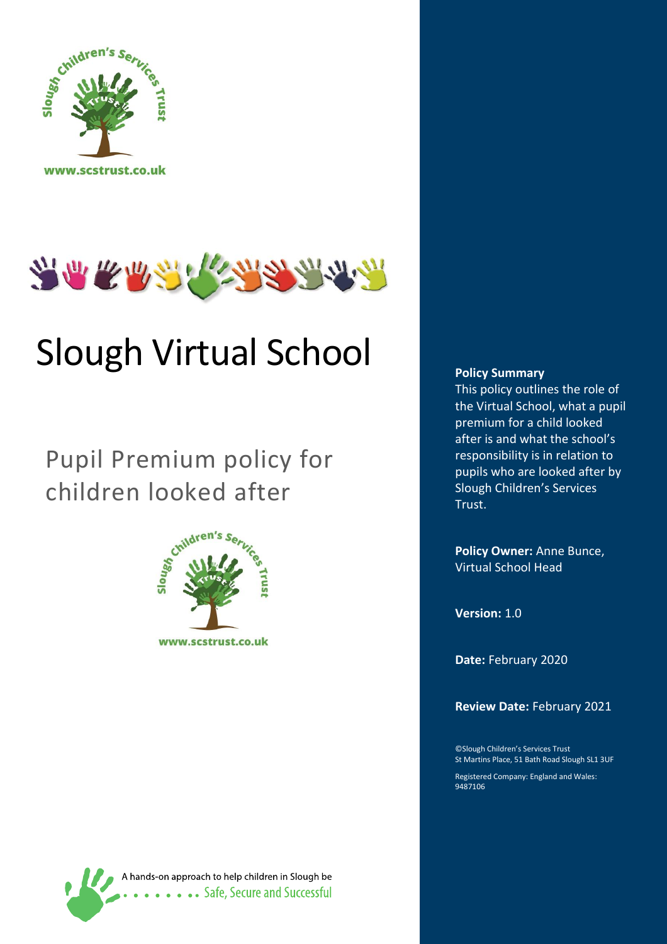



# Slough Virtual School

## Pupil Premium policy for children looked after





#### **Policy Summary**

This policy outlines the role of the Virtual School, what a pupil premium for a child looked after is and what the school's responsibility is in relation to pupils who are looked after by Slough Children's Services Trust.

**Policy Owner:** Anne Bunce, Virtual School Head

**Version:** 1.0

**Date:** February 2020

**Review Date:** February 2021

©Slough Children's Services Trust St Martins Place, 51 Bath Road Slough SL1 3UF

Registered Company: England and Wales: 9487106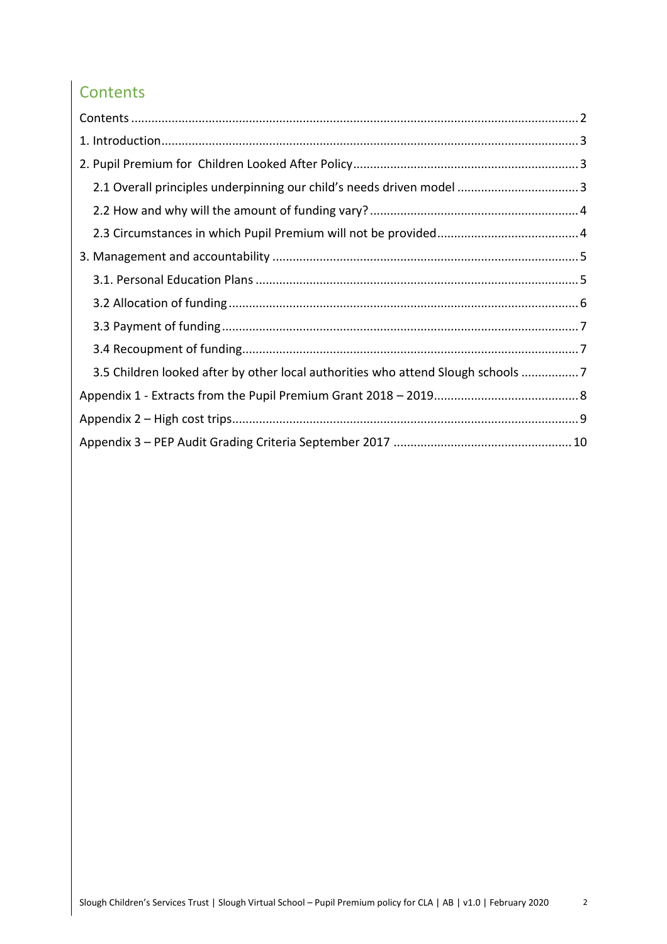## <span id="page-1-0"></span>**Contents**

| 2.1 Overall principles underpinning our child's needs driven model  3            |
|----------------------------------------------------------------------------------|
|                                                                                  |
|                                                                                  |
|                                                                                  |
|                                                                                  |
|                                                                                  |
|                                                                                  |
|                                                                                  |
| 3.5 Children looked after by other local authorities who attend Slough schools 7 |
|                                                                                  |
|                                                                                  |
|                                                                                  |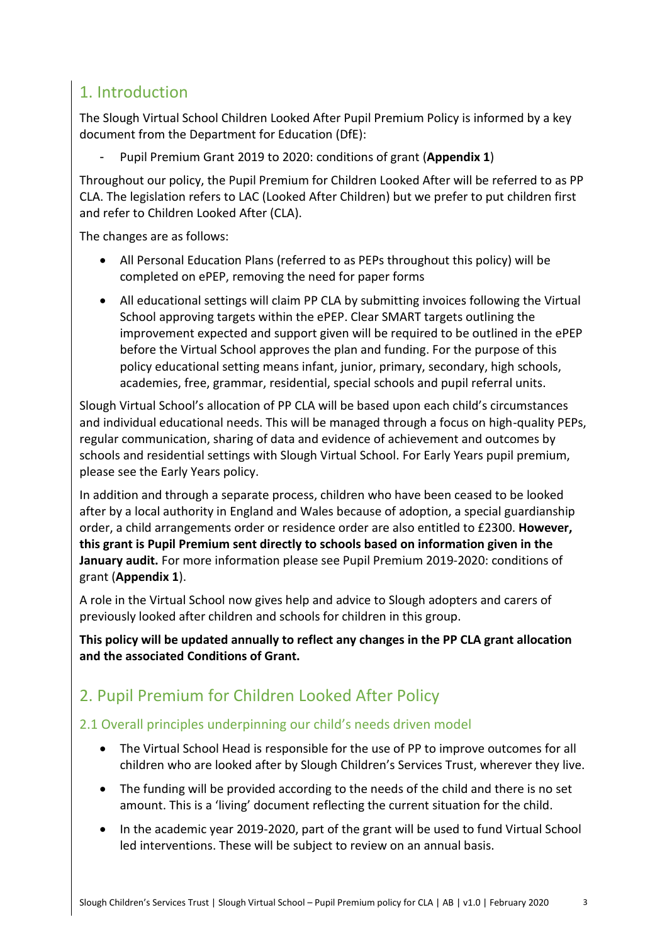## <span id="page-2-0"></span>1. Introduction

The Slough Virtual School Children Looked After Pupil Premium Policy is informed by a key document from the Department for Education (DfE):

- Pupil Premium Grant 2019 to 2020: conditions of grant (**Appendix 1**)

Throughout our policy, the Pupil Premium for Children Looked After will be referred to as PP CLA. The legislation refers to LAC (Looked After Children) but we prefer to put children first and refer to Children Looked After (CLA).

The changes are as follows:

- All Personal Education Plans (referred to as PEPs throughout this policy) will be completed on ePEP, removing the need for paper forms
- All educational settings will claim PP CLA by submitting invoices following the Virtual School approving targets within the ePEP. Clear SMART targets outlining the improvement expected and support given will be required to be outlined in the ePEP before the Virtual School approves the plan and funding. For the purpose of this policy educational setting means infant, junior, primary, secondary, high schools, academies, free, grammar, residential, special schools and pupil referral units.

Slough Virtual School's allocation of PP CLA will be based upon each child's circumstances and individual educational needs. This will be managed through a focus on high-quality PEPs, regular communication, sharing of data and evidence of achievement and outcomes by schools and residential settings with Slough Virtual School. For Early Years pupil premium, please see the Early Years policy.

In addition and through a separate process, children who have been ceased to be looked after by a local authority in England and Wales because of adoption, a special guardianship order, a child arrangements order or residence order are also entitled to £2300. **However, this grant is Pupil Premium sent directly to schools based on information given in the January audit.** For more information please see Pupil Premium 2019-2020: conditions of grant (**Appendix 1**).

A role in the Virtual School now gives help and advice to Slough adopters and carers of previously looked after children and schools for children in this group.

**This policy will be updated annually to reflect any changes in the PP CLA grant allocation and the associated Conditions of Grant.**

## <span id="page-2-1"></span>2. Pupil Premium for Children Looked After Policy

#### <span id="page-2-2"></span>2.1 Overall principles underpinning our child's needs driven model

- The Virtual School Head is responsible for the use of PP to improve outcomes for all children who are looked after by Slough Children's Services Trust, wherever they live.
- The funding will be provided according to the needs of the child and there is no set amount. This is a 'living' document reflecting the current situation for the child.
- In the academic year 2019-2020, part of the grant will be used to fund Virtual School led interventions. These will be subject to review on an annual basis.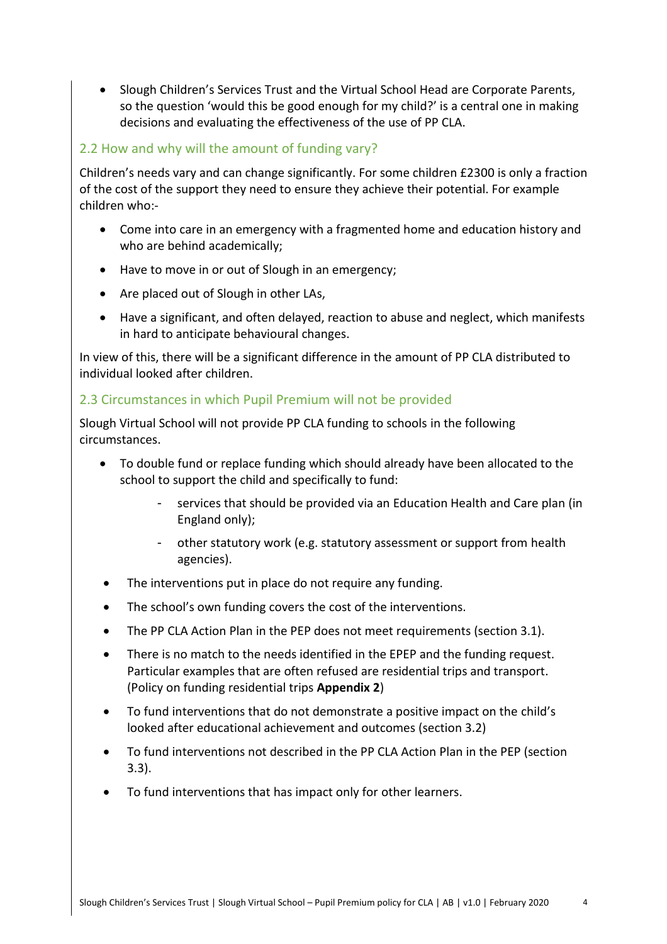Slough Children's Services Trust and the Virtual School Head are Corporate Parents, so the question 'would this be good enough for my child?' is a central one in making decisions and evaluating the effectiveness of the use of PP CLA.

#### <span id="page-3-0"></span>2.2 How and why will the amount of funding vary?

Children's needs vary and can change significantly. For some children £2300 is only a fraction of the cost of the support they need to ensure they achieve their potential. For example children who:-

- Come into care in an emergency with a fragmented home and education history and who are behind academically;
- Have to move in or out of Slough in an emergency;
- Are placed out of Slough in other LAs,
- Have a significant, and often delayed, reaction to abuse and neglect, which manifests in hard to anticipate behavioural changes.

In view of this, there will be a significant difference in the amount of PP CLA distributed to individual looked after children.

#### <span id="page-3-1"></span>2.3 Circumstances in which Pupil Premium will not be provided

Slough Virtual School will not provide PP CLA funding to schools in the following circumstances.

- To double fund or replace funding which should already have been allocated to the school to support the child and specifically to fund:
	- services that should be provided via an Education Health and Care plan (in England only);
	- other statutory work (e.g. statutory assessment or support from health agencies).
- The interventions put in place do not require any funding.
- The school's own funding covers the cost of the interventions.
- The PP CLA Action Plan in the PEP does not meet requirements (section 3.1).
- There is no match to the needs identified in the EPEP and the funding request. Particular examples that are often refused are residential trips and transport. (Policy on funding residential trips **Appendix 2**)
- To fund interventions that do not demonstrate a positive impact on the child's looked after educational achievement and outcomes (section 3.2)
- To fund interventions not described in the PP CLA Action Plan in the PEP (section 3.3).
- To fund interventions that has impact only for other learners.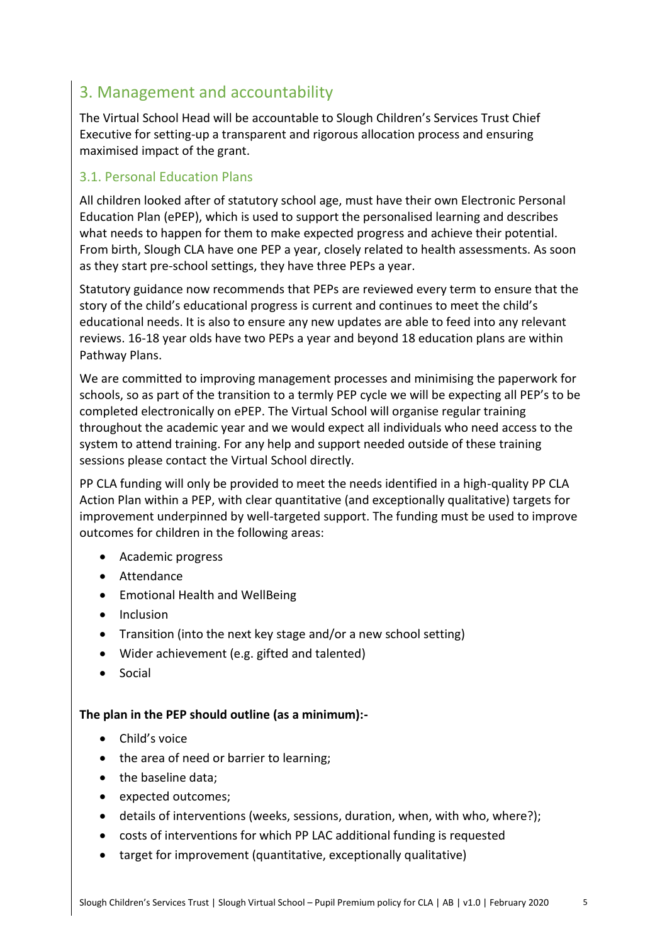### <span id="page-4-0"></span>3. Management and accountability

The Virtual School Head will be accountable to Slough Children's Services Trust Chief Executive for setting-up a transparent and rigorous allocation process and ensuring maximised impact of the grant.

#### <span id="page-4-1"></span>3.1. Personal Education Plans

All children looked after of statutory school age, must have their own Electronic Personal Education Plan (ePEP), which is used to support the personalised learning and describes what needs to happen for them to make expected progress and achieve their potential. From birth, Slough CLA have one PEP a year, closely related to health assessments. As soon as they start pre-school settings, they have three PEPs a year.

Statutory guidance now recommends that PEPs are reviewed every term to ensure that the story of the child's educational progress is current and continues to meet the child's educational needs. It is also to ensure any new updates are able to feed into any relevant reviews. 16-18 year olds have two PEPs a year and beyond 18 education plans are within Pathway Plans.

We are committed to improving management processes and minimising the paperwork for schools, so as part of the transition to a termly PEP cycle we will be expecting all PEP's to be completed electronically on ePEP. The Virtual School will organise regular training throughout the academic year and we would expect all individuals who need access to the system to attend training. For any help and support needed outside of these training sessions please contact the Virtual School directly.

PP CLA funding will only be provided to meet the needs identified in a high-quality PP CLA Action Plan within a PEP, with clear quantitative (and exceptionally qualitative) targets for improvement underpinned by well-targeted support. The funding must be used to improve outcomes for children in the following areas:

- Academic progress
- Attendance
- Emotional Health and WellBeing
- Inclusion
- Transition (into the next key stage and/or a new school setting)
- Wider achievement (e.g. gifted and talented)
- Social

#### **The plan in the PEP should outline (as a minimum):-**

- Child's voice
- the area of need or barrier to learning;
- the baseline data;
- expected outcomes;
- details of interventions (weeks, sessions, duration, when, with who, where?);
- costs of interventions for which PP LAC additional funding is requested
- target for improvement (quantitative, exceptionally qualitative)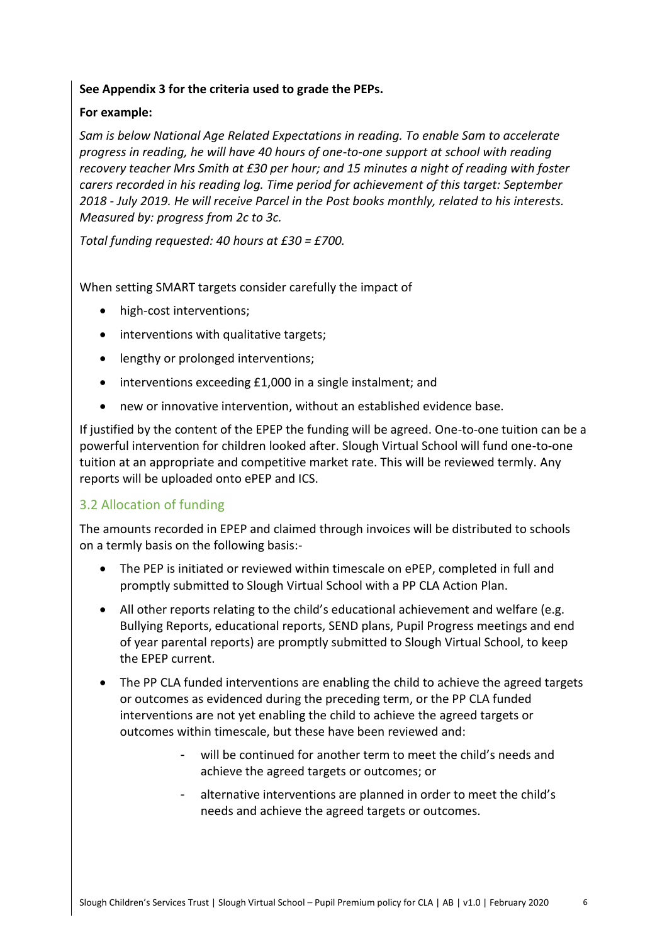#### **See Appendix 3 for the criteria used to grade the PEPs.**

#### **For example:**

*Sam is below National Age Related Expectations in reading. To enable Sam to accelerate progress in reading, he will have 40 hours of one-to-one support at school with reading recovery teacher Mrs Smith at £30 per hour; and 15 minutes a night of reading with foster carers recorded in his reading log. Time period for achievement of this target: September 2018 - July 2019. He will receive Parcel in the Post books monthly, related to his interests. Measured by: progress from 2c to 3c.*

*Total funding requested: 40 hours at £30 = £700.*

When setting SMART targets consider carefully the impact of

- high-cost interventions;
- interventions with qualitative targets;
- lengthy or prolonged interventions;
- interventions exceeding £1,000 in a single instalment; and
- new or innovative intervention, without an established evidence base.

If justified by the content of the EPEP the funding will be agreed. One-to-one tuition can be a powerful intervention for children looked after. Slough Virtual School will fund one-to-one tuition at an appropriate and competitive market rate. This will be reviewed termly. Any reports will be uploaded onto ePEP and ICS.

#### <span id="page-5-0"></span>3.2 Allocation of funding

The amounts recorded in EPEP and claimed through invoices will be distributed to schools on a termly basis on the following basis:-

- The PEP is initiated or reviewed within timescale on ePEP, completed in full and promptly submitted to Slough Virtual School with a PP CLA Action Plan.
- All other reports relating to the child's educational achievement and welfare (e.g. Bullying Reports, educational reports, SEND plans, Pupil Progress meetings and end of year parental reports) are promptly submitted to Slough Virtual School, to keep the EPEP current.
- The PP CLA funded interventions are enabling the child to achieve the agreed targets or outcomes as evidenced during the preceding term, or the PP CLA funded interventions are not yet enabling the child to achieve the agreed targets or outcomes within timescale, but these have been reviewed and:
	- will be continued for another term to meet the child's needs and achieve the agreed targets or outcomes; or
	- alternative interventions are planned in order to meet the child's needs and achieve the agreed targets or outcomes.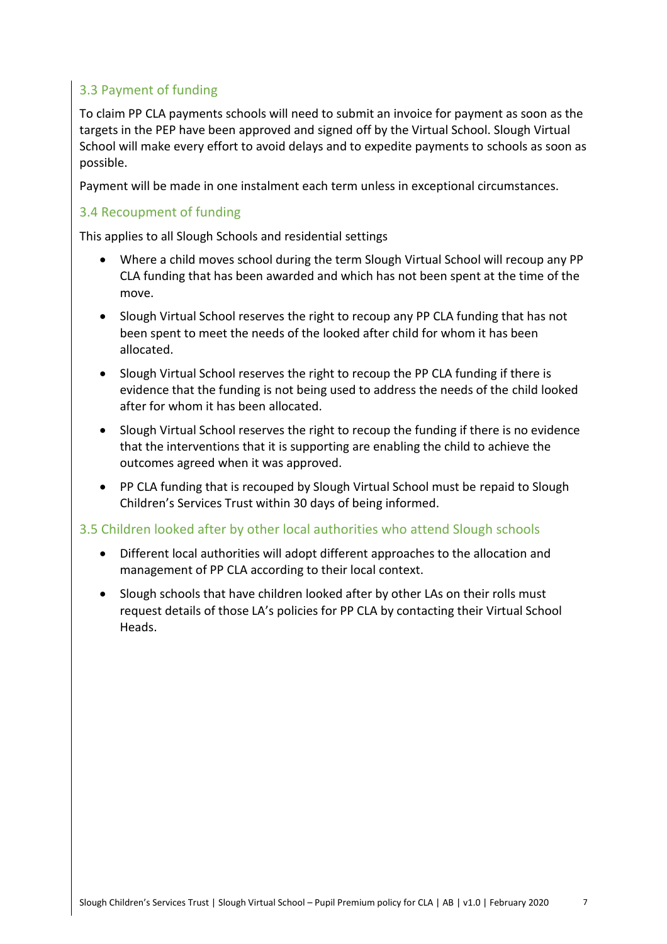#### <span id="page-6-0"></span>3.3 Payment of funding

To claim PP CLA payments schools will need to submit an invoice for payment as soon as the targets in the PEP have been approved and signed off by the Virtual School. Slough Virtual School will make every effort to avoid delays and to expedite payments to schools as soon as possible.

Payment will be made in one instalment each term unless in exceptional circumstances.

#### <span id="page-6-1"></span>3.4 Recoupment of funding

This applies to all Slough Schools and residential settings

- Where a child moves school during the term Slough Virtual School will recoup any PP CLA funding that has been awarded and which has not been spent at the time of the move.
- Slough Virtual School reserves the right to recoup any PP CLA funding that has not been spent to meet the needs of the looked after child for whom it has been allocated.
- Slough Virtual School reserves the right to recoup the PP CLA funding if there is evidence that the funding is not being used to address the needs of the child looked after for whom it has been allocated.
- Slough Virtual School reserves the right to recoup the funding if there is no evidence that the interventions that it is supporting are enabling the child to achieve the outcomes agreed when it was approved.
- PP CLA funding that is recouped by Slough Virtual School must be repaid to Slough Children's Services Trust within 30 days of being informed.

#### <span id="page-6-2"></span>3.5 Children looked after by other local authorities who attend Slough schools

- Different local authorities will adopt different approaches to the allocation and management of PP CLA according to their local context.
- Slough schools that have children looked after by other LAs on their rolls must request details of those LA's policies for PP CLA by contacting their Virtual School Heads.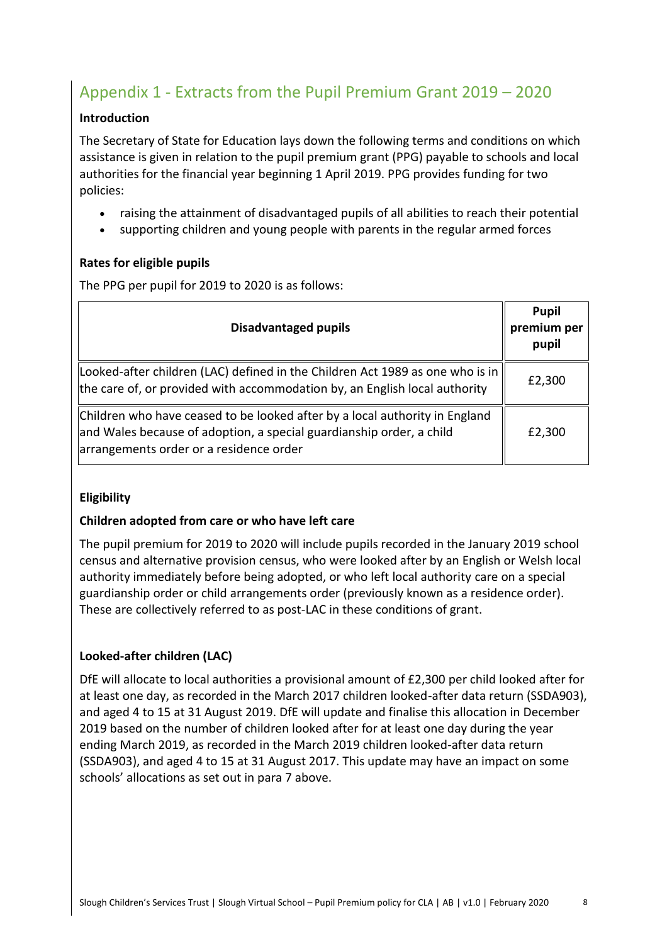## <span id="page-7-0"></span>Appendix 1 - Extracts from the Pupil Premium Grant 2019 – 2020

#### **Introduction**

The Secretary of State for Education lays down the following terms and conditions on which assistance is given in relation to the pupil premium grant (PPG) payable to schools and local authorities for the financial year beginning 1 April 2019. PPG provides funding for two policies:

- raising the attainment of disadvantaged pupils of all abilities to reach their potential
- supporting children and young people with parents in the regular armed forces

#### **Rates for eligible pupils**

The PPG per pupil for 2019 to 2020 is as follows:

| <b>Disadvantaged pupils</b>                                                                                                                                                                    | <b>Pupil</b><br>premium per<br>pupil |
|------------------------------------------------------------------------------------------------------------------------------------------------------------------------------------------------|--------------------------------------|
| Looked-after children (LAC) defined in the Children Act 1989 as one who is in<br>the care of, or provided with accommodation by, an English local authority                                    | £2,300                               |
| Children who have ceased to be looked after by a local authority in England<br>and Wales because of adoption, a special guardianship order, a child<br>arrangements order or a residence order | £2,300                               |

#### **Eligibility**

#### **Children adopted from care or who have left care**

The pupil premium for 2019 to 2020 will include pupils recorded in the January 2019 school census and alternative provision census, who were looked after by an English or Welsh local authority immediately before being adopted, or who left local authority care on a special guardianship order or child arrangements order (previously known as a residence order). These are collectively referred to as post-LAC in these conditions of grant.

#### **Looked-after children (LAC)**

DfE will allocate to local authorities a provisional amount of £2,300 per child looked after for at least one day, as recorded in the March 2017 children looked-after data return (SSDA903), and aged 4 to 15 at 31 August 2019. DfE will update and finalise this allocation in December 2019 based on the number of children looked after for at least one day during the year ending March 2019, as recorded in the March 2019 children looked-after data return (SSDA903), and aged 4 to 15 at 31 August 2017. This update may have an impact on some schools' allocations as set out in para 7 above.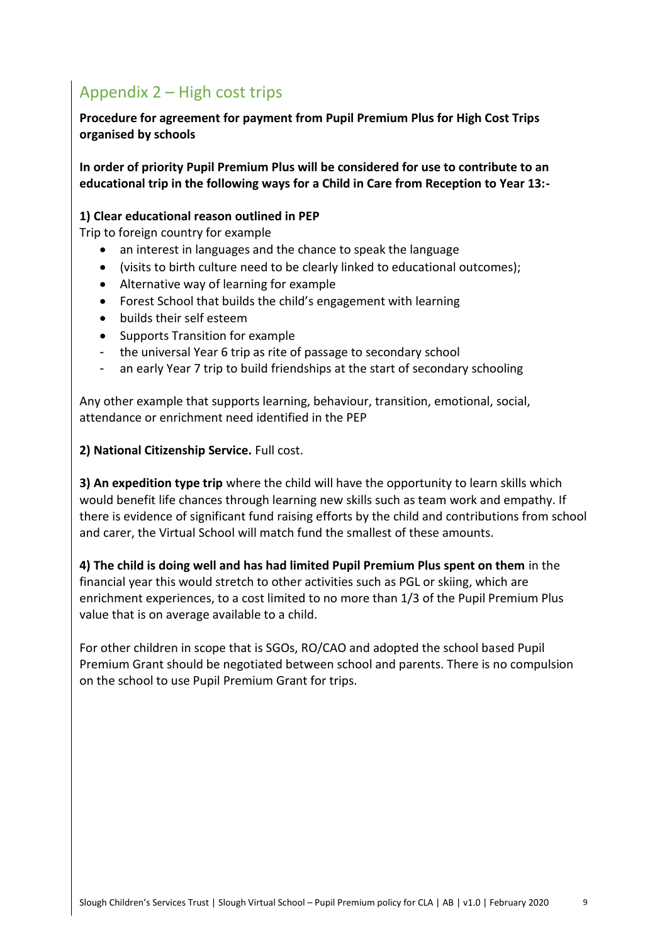## <span id="page-8-0"></span>Appendix 2 – High cost trips

**Procedure for agreement for payment from Pupil Premium Plus for High Cost Trips organised by schools**

**In order of priority Pupil Premium Plus will be considered for use to contribute to an educational trip in the following ways for a Child in Care from Reception to Year 13:-**

#### **1) Clear educational reason outlined in PEP**

Trip to foreign country for example

- an interest in languages and the chance to speak the language
- (visits to birth culture need to be clearly linked to educational outcomes);
- Alternative way of learning for example
- Forest School that builds the child's engagement with learning
- builds their self esteem
- Supports Transition for example
- the universal Year 6 trip as rite of passage to secondary school
- an early Year 7 trip to build friendships at the start of secondary schooling

Any other example that supports learning, behaviour, transition, emotional, social, attendance or enrichment need identified in the PEP

**2) National Citizenship Service.** Full cost.

**3) An expedition type trip** where the child will have the opportunity to learn skills which would benefit life chances through learning new skills such as team work and empathy. If there is evidence of significant fund raising efforts by the child and contributions from school and carer, the Virtual School will match fund the smallest of these amounts.

**4) The child is doing well and has had limited Pupil Premium Plus spent on them** in the financial year this would stretch to other activities such as PGL or skiing, which are enrichment experiences, to a cost limited to no more than 1/3 of the Pupil Premium Plus value that is on average available to a child.

For other children in scope that is SGOs, RO/CAO and adopted the school based Pupil Premium Grant should be negotiated between school and parents. There is no compulsion on the school to use Pupil Premium Grant for trips.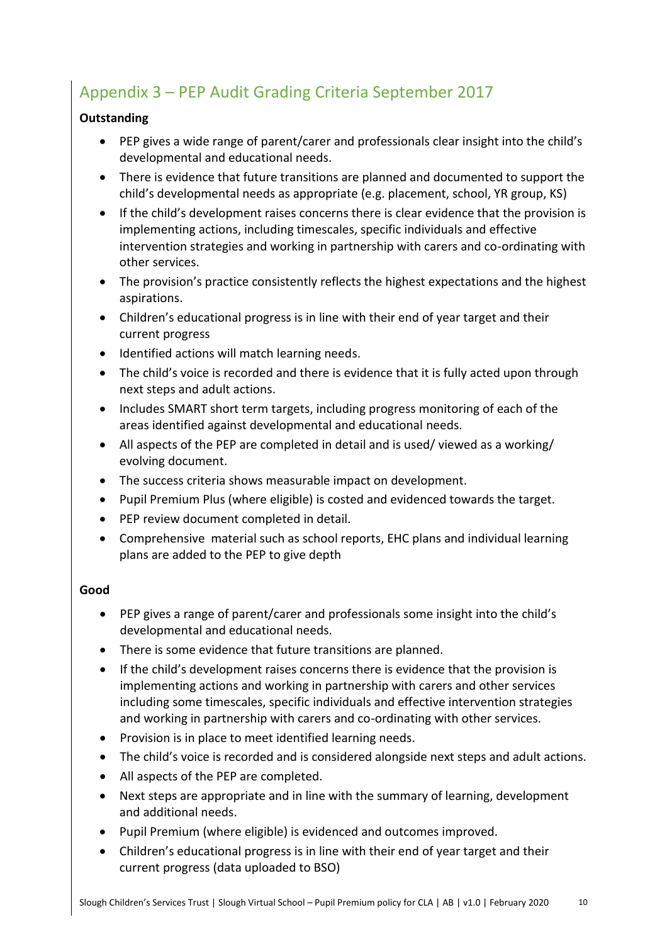## <span id="page-9-0"></span>Appendix 3 – PEP Audit Grading Criteria September 2017

#### **Outstanding**

- PEP gives a wide range of parent/carer and professionals clear insight into the child's developmental and educational needs.
- There is evidence that future transitions are planned and documented to support the child's developmental needs as appropriate (e.g. placement, school, YR group, KS)
- If the child's development raises concerns there is clear evidence that the provision is implementing actions, including timescales, specific individuals and effective intervention strategies and working in partnership with carers and co-ordinating with other services.
- The provision's practice consistently reflects the highest expectations and the highest aspirations.
- Children's educational progress is in line with their end of year target and their current progress
- Identified actions will match learning needs.
- The child's voice is recorded and there is evidence that it is fully acted upon through next steps and adult actions.
- Includes SMART short term targets, including progress monitoring of each of the areas identified against developmental and educational needs.
- All aspects of the PEP are completed in detail and is used/ viewed as a working/ evolving document.
- The success criteria shows measurable impact on development.
- Pupil Premium Plus (where eligible) is costed and evidenced towards the target.
- PEP review document completed in detail.
- Comprehensive material such as school reports, EHC plans and individual learning plans are added to the PEP to give depth

#### **Good**

- PEP gives a range of parent/carer and professionals some insight into the child's developmental and educational needs.
- There is some evidence that future transitions are planned.
- If the child's development raises concerns there is evidence that the provision is implementing actions and working in partnership with carers and other services including some timescales, specific individuals and effective intervention strategies and working in partnership with carers and co-ordinating with other services.
- Provision is in place to meet identified learning needs.
- The child's voice is recorded and is considered alongside next steps and adult actions.
- All aspects of the PEP are completed.
- Next steps are appropriate and in line with the summary of learning, development and additional needs.
- Pupil Premium (where eligible) is evidenced and outcomes improved.
- Children's educational progress is in line with their end of year target and their current progress (data uploaded to BSO)